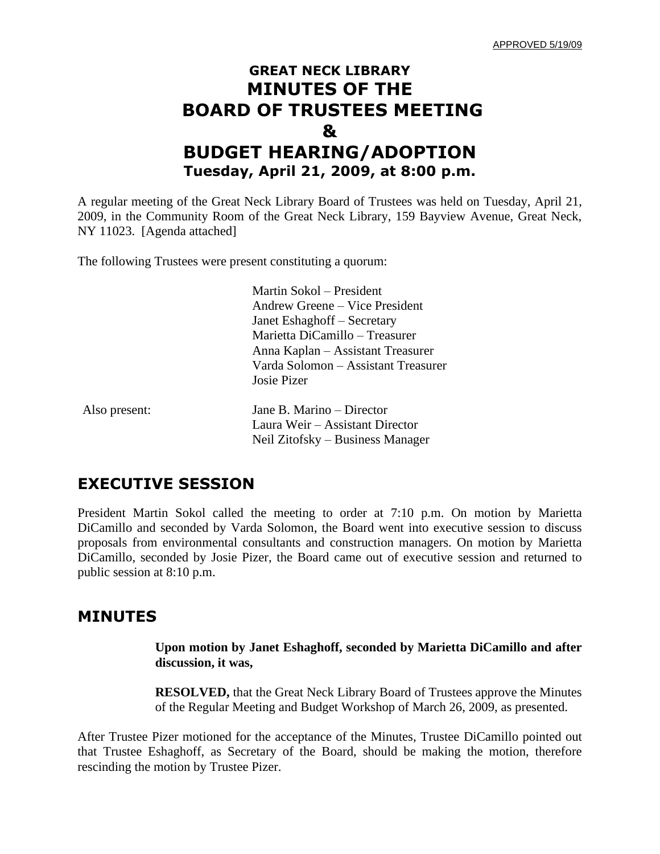## **GREAT NECK LIBRARY MINUTES OF THE BOARD OF TRUSTEES MEETING & BUDGET HEARING/ADOPTION Tuesday, April 21, 2009, at 8:00 p.m.**

A regular meeting of the Great Neck Library Board of Trustees was held on Tuesday, April 21, 2009, in the Community Room of the Great Neck Library, 159 Bayview Avenue, Great Neck, NY 11023. [Agenda attached]

The following Trustees were present constituting a quorum:

Martin Sokol – President Andrew Greene – Vice President Janet Eshaghoff – Secretary Marietta DiCamillo – Treasurer Anna Kaplan – Assistant Treasurer Varda Solomon – Assistant Treasurer Josie Pizer

| Also present: | Jane B. Marino – Director        |
|---------------|----------------------------------|
|               | Laura Weir – Assistant Director  |
|               | Neil Zitofsky – Business Manager |

## **EXECUTIVE SESSION**

President Martin Sokol called the meeting to order at 7:10 p.m. On motion by Marietta DiCamillo and seconded by Varda Solomon, the Board went into executive session to discuss proposals from environmental consultants and construction managers. On motion by Marietta DiCamillo, seconded by Josie Pizer, the Board came out of executive session and returned to public session at 8:10 p.m.

## **MINUTES**

**Upon motion by Janet Eshaghoff, seconded by Marietta DiCamillo and after discussion, it was,**

**RESOLVED,** that the Great Neck Library Board of Trustees approve the Minutes of the Regular Meeting and Budget Workshop of March 26, 2009, as presented.

After Trustee Pizer motioned for the acceptance of the Minutes, Trustee DiCamillo pointed out that Trustee Eshaghoff, as Secretary of the Board, should be making the motion, therefore rescinding the motion by Trustee Pizer.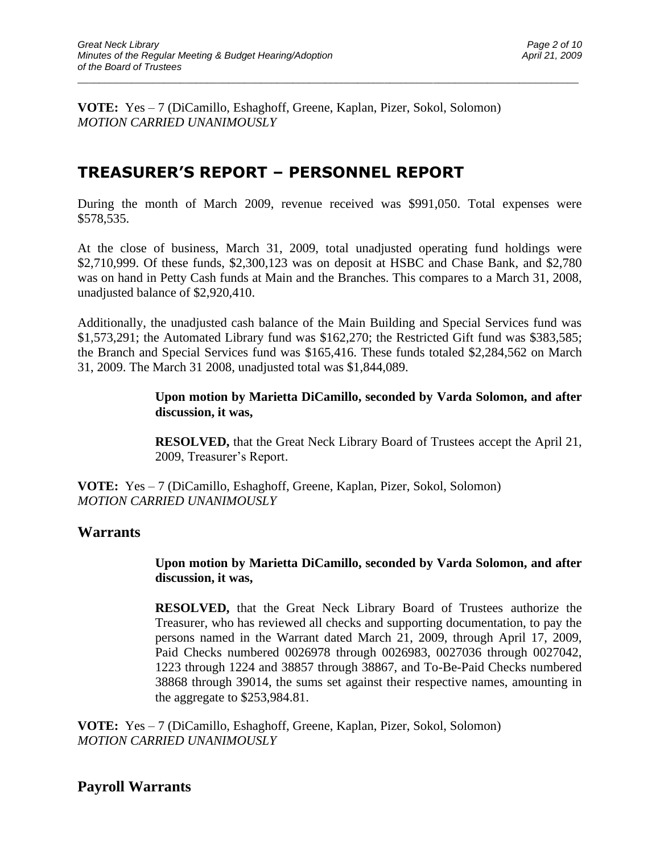**VOTE:** Yes – 7 (DiCamillo, Eshaghoff, Greene, Kaplan, Pizer, Sokol, Solomon) *MOTION CARRIED UNANIMOUSLY*

## **TREASURER'S REPORT – PERSONNEL REPORT**

During the month of March 2009, revenue received was \$991,050. Total expenses were \$578,535.

\_\_\_\_\_\_\_\_\_\_\_\_\_\_\_\_\_\_\_\_\_\_\_\_\_\_\_\_\_\_\_\_\_\_\_\_\_\_\_\_\_\_\_\_\_\_\_\_\_\_\_\_\_\_\_\_\_\_\_\_\_\_\_\_\_\_\_\_\_\_\_\_\_\_\_\_\_\_\_\_\_\_\_\_\_\_\_\_\_\_\_\_\_

At the close of business, March 31, 2009, total unadjusted operating fund holdings were \$2,710,999. Of these funds, \$2,300,123 was on deposit at HSBC and Chase Bank, and \$2,780 was on hand in Petty Cash funds at Main and the Branches. This compares to a March 31, 2008, unadjusted balance of \$2,920,410.

Additionally, the unadjusted cash balance of the Main Building and Special Services fund was \$1,573,291; the Automated Library fund was \$162,270; the Restricted Gift fund was \$383,585; the Branch and Special Services fund was \$165,416. These funds totaled \$2,284,562 on March 31, 2009. The March 31 2008, unadjusted total was \$1,844,089.

#### **Upon motion by Marietta DiCamillo, seconded by Varda Solomon, and after discussion, it was,**

**RESOLVED,** that the Great Neck Library Board of Trustees accept the April 21, 2009, Treasurer's Report.

**VOTE:** Yes – 7 (DiCamillo, Eshaghoff, Greene, Kaplan, Pizer, Sokol, Solomon) *MOTION CARRIED UNANIMOUSLY*

### **Warrants**

#### **Upon motion by Marietta DiCamillo, seconded by Varda Solomon, and after discussion, it was,**

**RESOLVED,** that the Great Neck Library Board of Trustees authorize the Treasurer, who has reviewed all checks and supporting documentation, to pay the persons named in the Warrant dated March 21, 2009, through April 17, 2009, Paid Checks numbered 0026978 through 0026983, 0027036 through 0027042, 1223 through 1224 and 38857 through 38867, and To-Be-Paid Checks numbered 38868 through 39014, the sums set against their respective names, amounting in the aggregate to \$253,984.81.

**VOTE:** Yes – 7 (DiCamillo, Eshaghoff, Greene, Kaplan, Pizer, Sokol, Solomon) *MOTION CARRIED UNANIMOUSLY*

**Payroll Warrants**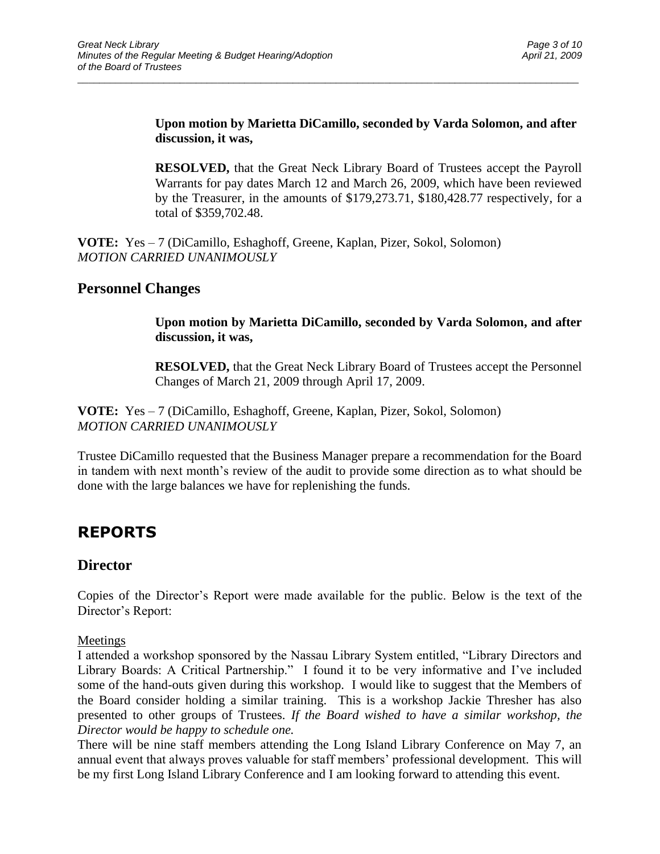#### **Upon motion by Marietta DiCamillo, seconded by Varda Solomon, and after discussion, it was,**

\_\_\_\_\_\_\_\_\_\_\_\_\_\_\_\_\_\_\_\_\_\_\_\_\_\_\_\_\_\_\_\_\_\_\_\_\_\_\_\_\_\_\_\_\_\_\_\_\_\_\_\_\_\_\_\_\_\_\_\_\_\_\_\_\_\_\_\_\_\_\_\_\_\_\_\_\_\_\_\_\_\_\_\_\_\_\_\_\_\_\_\_\_

**RESOLVED,** that the Great Neck Library Board of Trustees accept the Payroll Warrants for pay dates March 12 and March 26, 2009, which have been reviewed by the Treasurer, in the amounts of \$179,273.71, \$180,428.77 respectively, for a total of \$359,702.48.

**VOTE:** Yes – 7 (DiCamillo, Eshaghoff, Greene, Kaplan, Pizer, Sokol, Solomon) *MOTION CARRIED UNANIMOUSLY*

### **Personnel Changes**

**Upon motion by Marietta DiCamillo, seconded by Varda Solomon, and after discussion, it was,**

**RESOLVED,** that the Great Neck Library Board of Trustees accept the Personnel Changes of March 21, 2009 through April 17, 2009.

**VOTE:** Yes – 7 (DiCamillo, Eshaghoff, Greene, Kaplan, Pizer, Sokol, Solomon) *MOTION CARRIED UNANIMOUSLY*

Trustee DiCamillo requested that the Business Manager prepare a recommendation for the Board in tandem with next month's review of the audit to provide some direction as to what should be done with the large balances we have for replenishing the funds.

## **REPORTS**

### **Director**

Copies of the Director's Report were made available for the public. Below is the text of the Director's Report:

#### Meetings

I attended a workshop sponsored by the Nassau Library System entitled, "Library Directors and Library Boards: A Critical Partnership." I found it to be very informative and I've included some of the hand-outs given during this workshop. I would like to suggest that the Members of the Board consider holding a similar training. This is a workshop Jackie Thresher has also presented to other groups of Trustees. *If the Board wished to have a similar workshop, the Director would be happy to schedule one.*

There will be nine staff members attending the Long Island Library Conference on May 7, an annual event that always proves valuable for staff members' professional development. This will be my first Long Island Library Conference and I am looking forward to attending this event.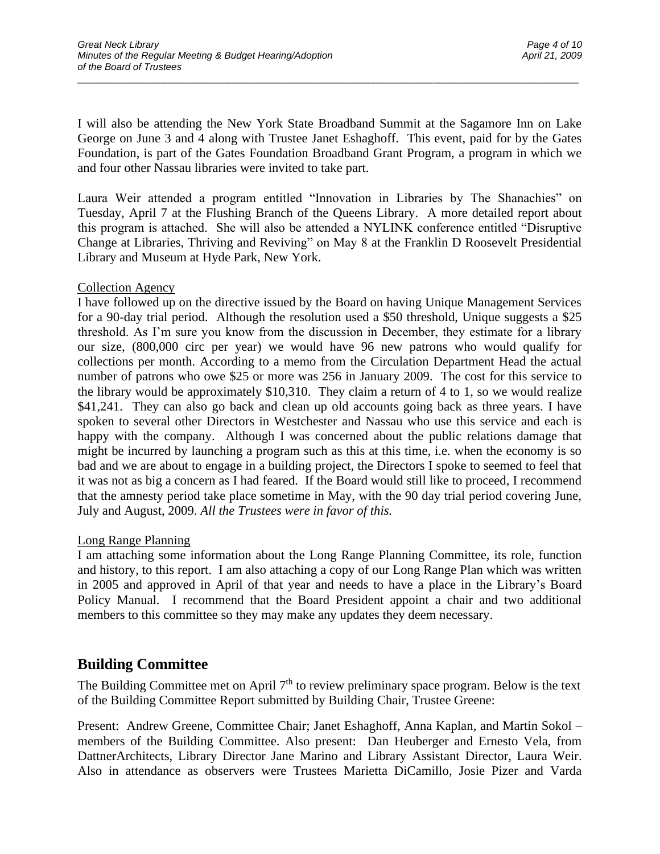I will also be attending the New York State Broadband Summit at the Sagamore Inn on Lake George on June 3 and 4 along with Trustee Janet Eshaghoff. This event, paid for by the Gates Foundation, is part of the Gates Foundation Broadband Grant Program, a program in which we and four other Nassau libraries were invited to take part.

\_\_\_\_\_\_\_\_\_\_\_\_\_\_\_\_\_\_\_\_\_\_\_\_\_\_\_\_\_\_\_\_\_\_\_\_\_\_\_\_\_\_\_\_\_\_\_\_\_\_\_\_\_\_\_\_\_\_\_\_\_\_\_\_\_\_\_\_\_\_\_\_\_\_\_\_\_\_\_\_\_\_\_\_\_\_\_\_\_\_\_\_\_

Laura Weir attended a program entitled "Innovation in Libraries by The Shanachies" on Tuesday, April 7 at the Flushing Branch of the Queens Library. A more detailed report about this program is attached. She will also be attended a NYLINK conference entitled "Disruptive Change at Libraries, Thriving and Reviving" on May 8 at the Franklin D Roosevelt Presidential Library and Museum at Hyde Park, New York.

#### Collection Agency

I have followed up on the directive issued by the Board on having Unique Management Services for a 90-day trial period. Although the resolution used a \$50 threshold, Unique suggests a \$25 threshold. As I'm sure you know from the discussion in December, they estimate for a library our size, (800,000 circ per year) we would have 96 new patrons who would qualify for collections per month. According to a memo from the Circulation Department Head the actual number of patrons who owe \$25 or more was 256 in January 2009. The cost for this service to the library would be approximately \$10,310. They claim a return of 4 to 1, so we would realize \$41,241. They can also go back and clean up old accounts going back as three years. I have spoken to several other Directors in Westchester and Nassau who use this service and each is happy with the company. Although I was concerned about the public relations damage that might be incurred by launching a program such as this at this time, i.e. when the economy is so bad and we are about to engage in a building project, the Directors I spoke to seemed to feel that it was not as big a concern as I had feared. If the Board would still like to proceed, I recommend that the amnesty period take place sometime in May, with the 90 day trial period covering June, July and August, 2009. *All the Trustees were in favor of this.*

#### Long Range Planning

I am attaching some information about the Long Range Planning Committee, its role, function and history, to this report. I am also attaching a copy of our Long Range Plan which was written in 2005 and approved in April of that year and needs to have a place in the Library's Board Policy Manual. I recommend that the Board President appoint a chair and two additional members to this committee so they may make any updates they deem necessary.

### **Building Committee**

The Building Committee met on April  $7<sup>th</sup>$  to review preliminary space program. Below is the text of the Building Committee Report submitted by Building Chair, Trustee Greene:

Present: Andrew Greene, Committee Chair; Janet Eshaghoff, Anna Kaplan, and Martin Sokol – members of the Building Committee. Also present: Dan Heuberger and Ernesto Vela, from DattnerArchitects, Library Director Jane Marino and Library Assistant Director, Laura Weir. Also in attendance as observers were Trustees Marietta DiCamillo, Josie Pizer and Varda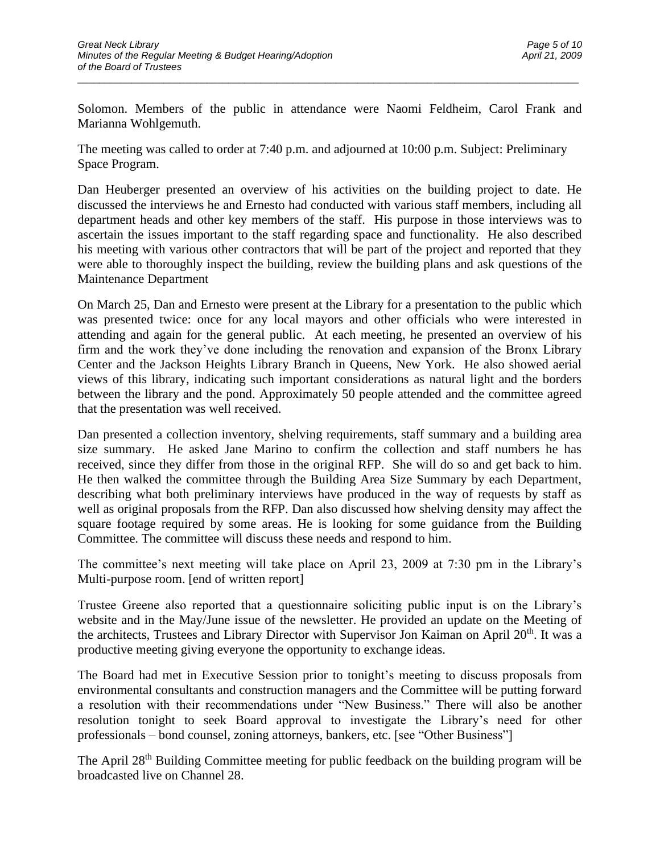Solomon. Members of the public in attendance were Naomi Feldheim, Carol Frank and Marianna Wohlgemuth.

\_\_\_\_\_\_\_\_\_\_\_\_\_\_\_\_\_\_\_\_\_\_\_\_\_\_\_\_\_\_\_\_\_\_\_\_\_\_\_\_\_\_\_\_\_\_\_\_\_\_\_\_\_\_\_\_\_\_\_\_\_\_\_\_\_\_\_\_\_\_\_\_\_\_\_\_\_\_\_\_\_\_\_\_\_\_\_\_\_\_\_\_\_

The meeting was called to order at 7:40 p.m. and adjourned at 10:00 p.m. Subject: Preliminary Space Program.

Dan Heuberger presented an overview of his activities on the building project to date. He discussed the interviews he and Ernesto had conducted with various staff members, including all department heads and other key members of the staff. His purpose in those interviews was to ascertain the issues important to the staff regarding space and functionality. He also described his meeting with various other contractors that will be part of the project and reported that they were able to thoroughly inspect the building, review the building plans and ask questions of the Maintenance Department

On March 25, Dan and Ernesto were present at the Library for a presentation to the public which was presented twice: once for any local mayors and other officials who were interested in attending and again for the general public. At each meeting, he presented an overview of his firm and the work they've done including the renovation and expansion of the Bronx Library Center and the Jackson Heights Library Branch in Queens, New York. He also showed aerial views of this library, indicating such important considerations as natural light and the borders between the library and the pond. Approximately 50 people attended and the committee agreed that the presentation was well received.

Dan presented a collection inventory, shelving requirements, staff summary and a building area size summary. He asked Jane Marino to confirm the collection and staff numbers he has received, since they differ from those in the original RFP. She will do so and get back to him. He then walked the committee through the Building Area Size Summary by each Department, describing what both preliminary interviews have produced in the way of requests by staff as well as original proposals from the RFP. Dan also discussed how shelving density may affect the square footage required by some areas. He is looking for some guidance from the Building Committee. The committee will discuss these needs and respond to him.

The committee's next meeting will take place on April 23, 2009 at 7:30 pm in the Library's Multi-purpose room. [end of written report]

Trustee Greene also reported that a questionnaire soliciting public input is on the Library's website and in the May/June issue of the newsletter. He provided an update on the Meeting of the architects, Trustees and Library Director with Supervisor Jon Kaiman on April 20<sup>th</sup>. It was a productive meeting giving everyone the opportunity to exchange ideas.

The Board had met in Executive Session prior to tonight's meeting to discuss proposals from environmental consultants and construction managers and the Committee will be putting forward a resolution with their recommendations under "New Business." There will also be another resolution tonight to seek Board approval to investigate the Library's need for other professionals – bond counsel, zoning attorneys, bankers, etc. [see "Other Business"]

The April 28<sup>th</sup> Building Committee meeting for public feedback on the building program will be broadcasted live on Channel 28.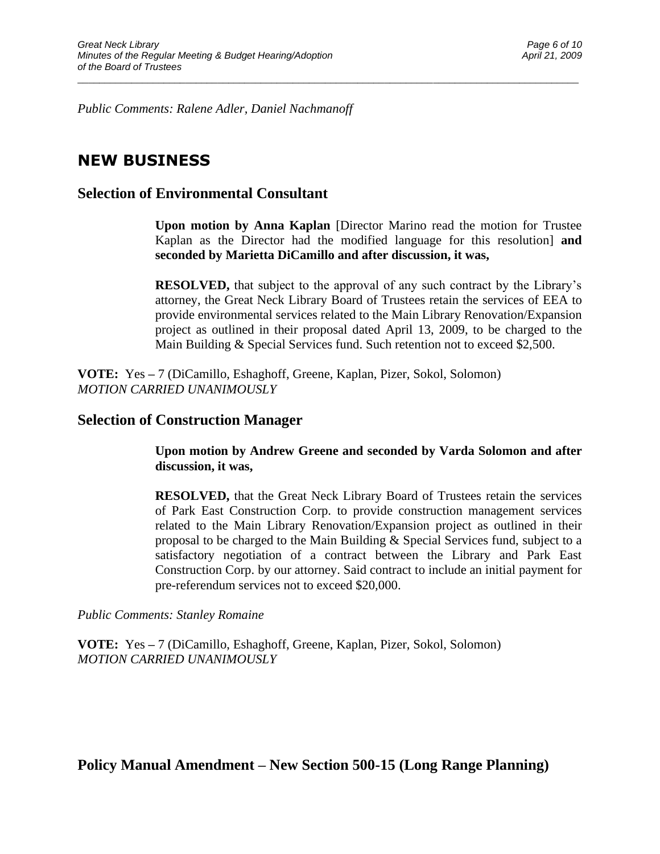*Public Comments: Ralene Adler, Daniel Nachmanoff*

## **NEW BUSINESS**

### **Selection of Environmental Consultant**

**Upon motion by Anna Kaplan** [Director Marino read the motion for Trustee Kaplan as the Director had the modified language for this resolution] **and seconded by Marietta DiCamillo and after discussion, it was,**

\_\_\_\_\_\_\_\_\_\_\_\_\_\_\_\_\_\_\_\_\_\_\_\_\_\_\_\_\_\_\_\_\_\_\_\_\_\_\_\_\_\_\_\_\_\_\_\_\_\_\_\_\_\_\_\_\_\_\_\_\_\_\_\_\_\_\_\_\_\_\_\_\_\_\_\_\_\_\_\_\_\_\_\_\_\_\_\_\_\_\_\_\_

**RESOLVED,** that subject to the approval of any such contract by the Library's attorney, the Great Neck Library Board of Trustees retain the services of EEA to provide environmental services related to the Main Library Renovation/Expansion project as outlined in their proposal dated April 13, 2009, to be charged to the Main Building & Special Services fund. Such retention not to exceed \$2,500.

**VOTE:** Yes **–** 7 (DiCamillo, Eshaghoff, Greene, Kaplan, Pizer, Sokol, Solomon) *MOTION CARRIED UNANIMOUSLY*

#### **Selection of Construction Manager**

**Upon motion by Andrew Greene and seconded by Varda Solomon and after discussion, it was,**

**RESOLVED,** that the Great Neck Library Board of Trustees retain the services of Park East Construction Corp. to provide construction management services related to the Main Library Renovation/Expansion project as outlined in their proposal to be charged to the Main Building & Special Services fund, subject to a satisfactory negotiation of a contract between the Library and Park East Construction Corp. by our attorney. Said contract to include an initial payment for pre-referendum services not to exceed \$20,000.

*Public Comments: Stanley Romaine*

**VOTE:** Yes **–** 7 (DiCamillo, Eshaghoff, Greene, Kaplan, Pizer, Sokol, Solomon) *MOTION CARRIED UNANIMOUSLY*

### **Policy Manual Amendment – New Section 500-15 (Long Range Planning)**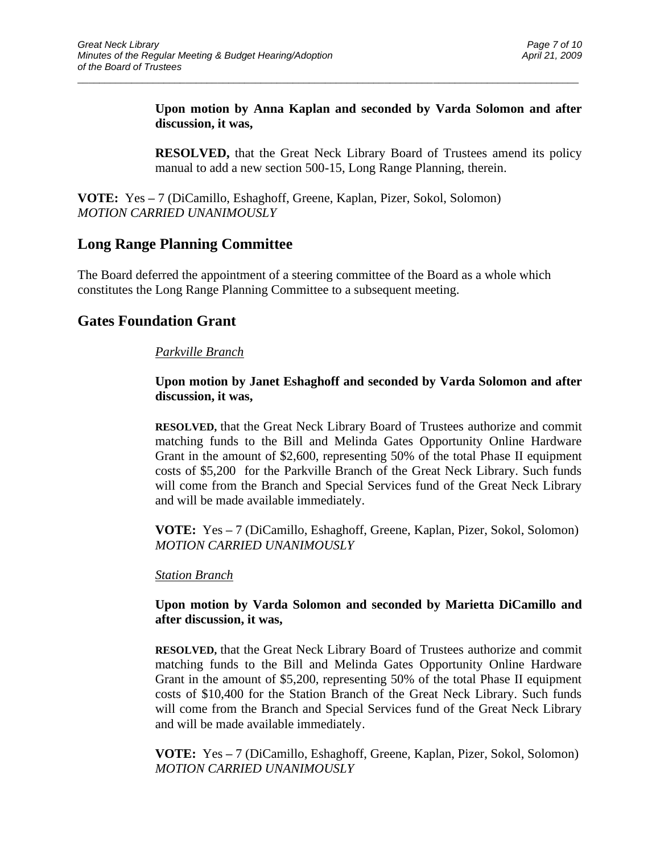**Upon motion by Anna Kaplan and seconded by Varda Solomon and after discussion, it was,**

\_\_\_\_\_\_\_\_\_\_\_\_\_\_\_\_\_\_\_\_\_\_\_\_\_\_\_\_\_\_\_\_\_\_\_\_\_\_\_\_\_\_\_\_\_\_\_\_\_\_\_\_\_\_\_\_\_\_\_\_\_\_\_\_\_\_\_\_\_\_\_\_\_\_\_\_\_\_\_\_\_\_\_\_\_\_\_\_\_\_\_\_\_

**RESOLVED,** that the Great Neck Library Board of Trustees amend its policy manual to add a new section 500-15, Long Range Planning, therein.

**VOTE:** Yes **–** 7 (DiCamillo, Eshaghoff, Greene, Kaplan, Pizer, Sokol, Solomon) *MOTION CARRIED UNANIMOUSLY*

## **Long Range Planning Committee**

The Board deferred the appointment of a steering committee of the Board as a whole which constitutes the Long Range Planning Committee to a subsequent meeting.

### **Gates Foundation Grant**

#### *Parkville Branch*

#### **Upon motion by Janet Eshaghoff and seconded by Varda Solomon and after discussion, it was,**

**RESOLVED,** that the Great Neck Library Board of Trustees authorize and commit matching funds to the Bill and Melinda Gates Opportunity Online Hardware Grant in the amount of \$2,600, representing 50% of the total Phase II equipment costs of \$5,200 for the Parkville Branch of the Great Neck Library. Such funds will come from the Branch and Special Services fund of the Great Neck Library and will be made available immediately.

**VOTE:** Yes **–** 7 (DiCamillo, Eshaghoff, Greene, Kaplan, Pizer, Sokol, Solomon) *MOTION CARRIED UNANIMOUSLY*

#### *Station Branch*

#### **Upon motion by Varda Solomon and seconded by Marietta DiCamillo and after discussion, it was,**

**RESOLVED,** that the Great Neck Library Board of Trustees authorize and commit matching funds to the Bill and Melinda Gates Opportunity Online Hardware Grant in the amount of \$5,200, representing 50% of the total Phase II equipment costs of \$10,400 for the Station Branch of the Great Neck Library. Such funds will come from the Branch and Special Services fund of the Great Neck Library and will be made available immediately.

**VOTE:** Yes **–** 7 (DiCamillo, Eshaghoff, Greene, Kaplan, Pizer, Sokol, Solomon) *MOTION CARRIED UNANIMOUSLY*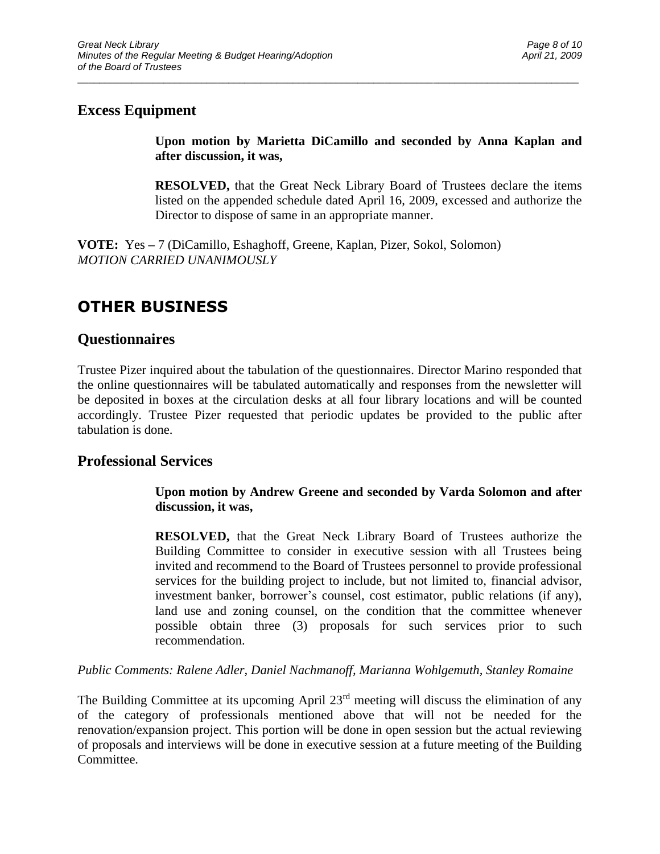### **Excess Equipment**

**Upon motion by Marietta DiCamillo and seconded by Anna Kaplan and after discussion, it was,**

\_\_\_\_\_\_\_\_\_\_\_\_\_\_\_\_\_\_\_\_\_\_\_\_\_\_\_\_\_\_\_\_\_\_\_\_\_\_\_\_\_\_\_\_\_\_\_\_\_\_\_\_\_\_\_\_\_\_\_\_\_\_\_\_\_\_\_\_\_\_\_\_\_\_\_\_\_\_\_\_\_\_\_\_\_\_\_\_\_\_\_\_\_

**RESOLVED,** that the Great Neck Library Board of Trustees declare the items listed on the appended schedule dated April 16, 2009, excessed and authorize the Director to dispose of same in an appropriate manner.

**VOTE:** Yes **–** 7 (DiCamillo, Eshaghoff, Greene, Kaplan, Pizer, Sokol, Solomon) *MOTION CARRIED UNANIMOUSLY*

## **OTHER BUSINESS**

### **Questionnaires**

Trustee Pizer inquired about the tabulation of the questionnaires. Director Marino responded that the online questionnaires will be tabulated automatically and responses from the newsletter will be deposited in boxes at the circulation desks at all four library locations and will be counted accordingly. Trustee Pizer requested that periodic updates be provided to the public after tabulation is done.

### **Professional Services**

#### **Upon motion by Andrew Greene and seconded by Varda Solomon and after discussion, it was,**

**RESOLVED,** that the Great Neck Library Board of Trustees authorize the Building Committee to consider in executive session with all Trustees being invited and recommend to the Board of Trustees personnel to provide professional services for the building project to include, but not limited to, financial advisor, investment banker, borrower's counsel, cost estimator, public relations (if any), land use and zoning counsel, on the condition that the committee whenever possible obtain three (3) proposals for such services prior to such recommendation.

*Public Comments: Ralene Adler, Daniel Nachmanoff, Marianna Wohlgemuth, Stanley Romaine*

The Building Committee at its upcoming April 23<sup>rd</sup> meeting will discuss the elimination of any of the category of professionals mentioned above that will not be needed for the renovation/expansion project. This portion will be done in open session but the actual reviewing of proposals and interviews will be done in executive session at a future meeting of the Building Committee.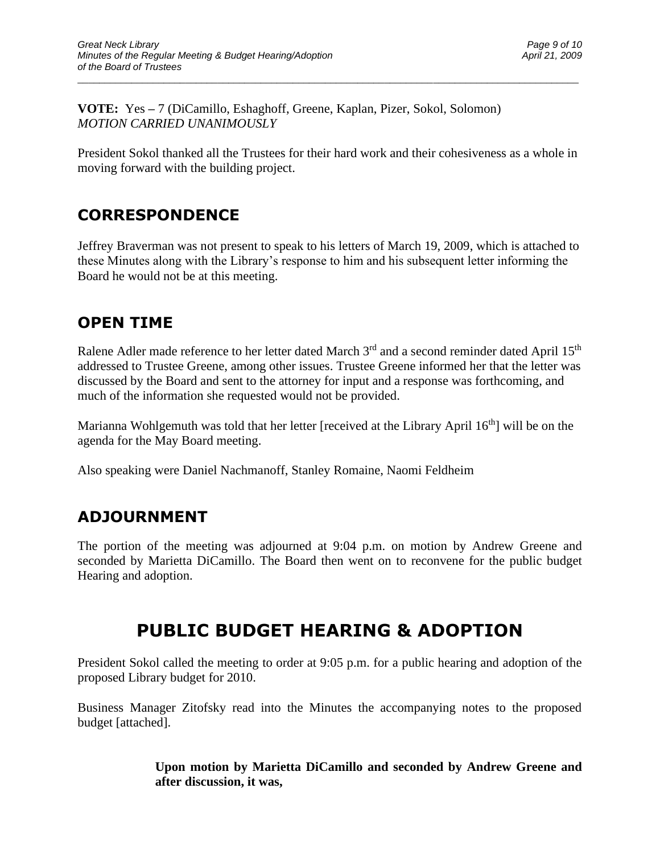**VOTE:** Yes **–** 7 (DiCamillo, Eshaghoff, Greene, Kaplan, Pizer, Sokol, Solomon) *MOTION CARRIED UNANIMOUSLY*

President Sokol thanked all the Trustees for their hard work and their cohesiveness as a whole in moving forward with the building project.

\_\_\_\_\_\_\_\_\_\_\_\_\_\_\_\_\_\_\_\_\_\_\_\_\_\_\_\_\_\_\_\_\_\_\_\_\_\_\_\_\_\_\_\_\_\_\_\_\_\_\_\_\_\_\_\_\_\_\_\_\_\_\_\_\_\_\_\_\_\_\_\_\_\_\_\_\_\_\_\_\_\_\_\_\_\_\_\_\_\_\_\_\_

## **CORRESPONDENCE**

Jeffrey Braverman was not present to speak to his letters of March 19, 2009, which is attached to these Minutes along with the Library's response to him and his subsequent letter informing the Board he would not be at this meeting.

## **OPEN TIME**

Ralene Adler made reference to her letter dated March  $3<sup>rd</sup>$  and a second reminder dated April 15<sup>th</sup> addressed to Trustee Greene, among other issues. Trustee Greene informed her that the letter was discussed by the Board and sent to the attorney for input and a response was forthcoming, and much of the information she requested would not be provided.

Marianna Wohlgemuth was told that her letter [received at the Library April 16<sup>th</sup>] will be on the agenda for the May Board meeting.

Also speaking were Daniel Nachmanoff, Stanley Romaine, Naomi Feldheim

## **ADJOURNMENT**

The portion of the meeting was adjourned at 9:04 p.m. on motion by Andrew Greene and seconded by Marietta DiCamillo. The Board then went on to reconvene for the public budget Hearing and adoption.

# **PUBLIC BUDGET HEARING & ADOPTION**

President Sokol called the meeting to order at 9:05 p.m. for a public hearing and adoption of the proposed Library budget for 2010.

Business Manager Zitofsky read into the Minutes the accompanying notes to the proposed budget [attached].

> **Upon motion by Marietta DiCamillo and seconded by Andrew Greene and after discussion, it was,**